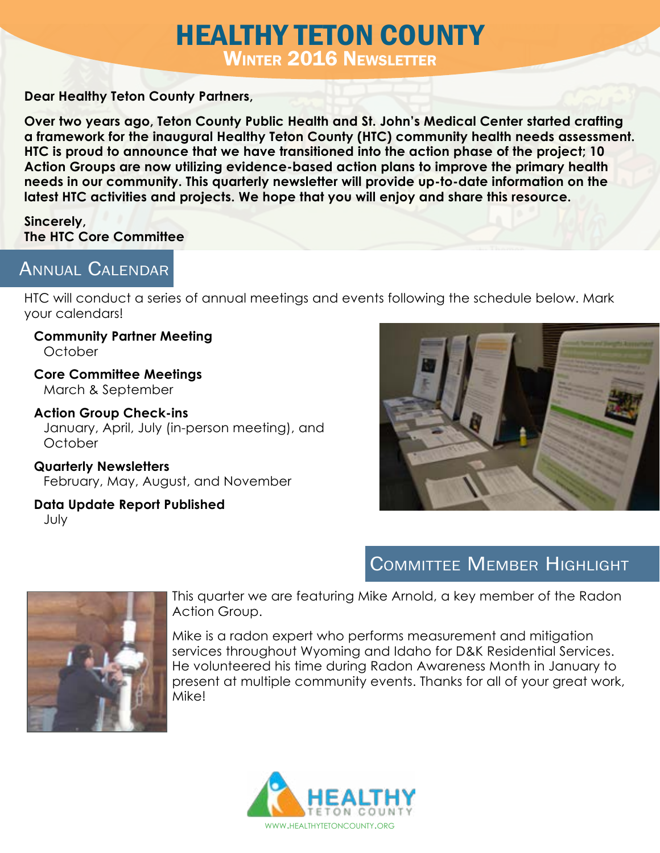# HEALTHY TETON COUNTY Winter 2016 Newsletter

#### **Dear Healthy Teton County Partners,**

**Over two years ago, Teton County Public Health and St. John's Medical Center started crafting a framework for the inaugural Healthy Teton County (HTC) community health needs assessment. HTC is proud to announce that we have transitioned into the action phase of the project; 10 Action Groups are now utilizing evidence-based action plans to improve the primary health needs in our community. This quarterly newsletter will provide up-to-date information on the latest HTC activities and projects. We hope that you will enjoy and share this resource.** 

#### **Sincerely, The HTC Core Committee**

### Annual Calendar

HTC will conduct a series of annual meetings and events following the schedule below. Mark your calendars!

**Community Partner Meeting October** 

**Core Committee Meetings** March & September

**Action Group Check-ins**  January, April, July (in-person meeting), and **October** 

**Quarterly Newsletters** February, May, August, and November

**Data Update Report Published** July



# Committee Member Highlight



This quarter we are featuring Mike Arnold, a key member of the Radon Action Group.

Mike is a radon expert who performs measurement and mitigation services throughout Wyoming and Idaho for D&K Residential Services. He volunteered his time during Radon Awareness Month in January to present at multiple community events. Thanks for all of your great work, Mike!

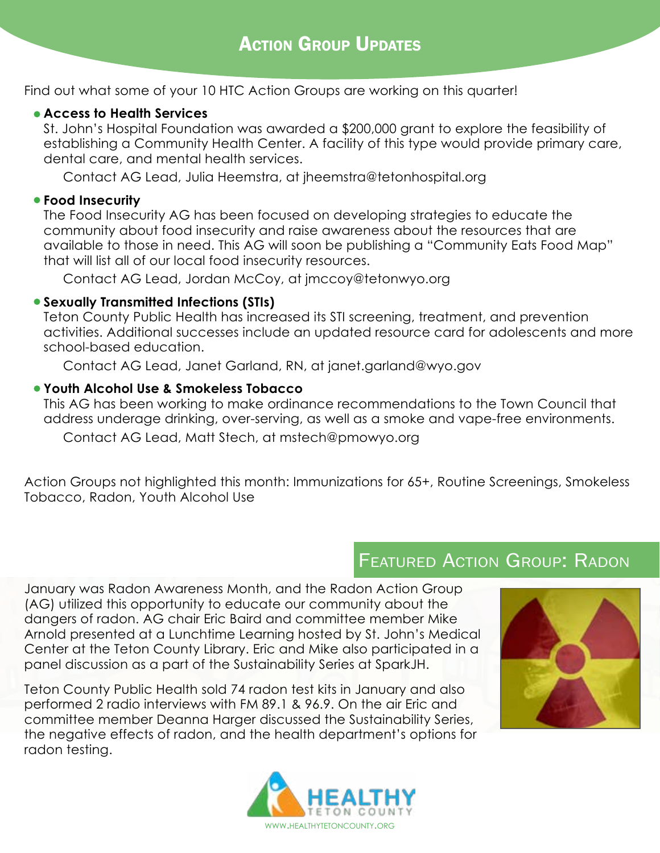Find out what some of your 10 HTC Action Groups are working on this quarter!

#### **Access to Health Services**

St. John's Hospital Foundation was awarded a \$200,000 grant to explore the feasibility of establishing a Community Health Center. A facility of this type would provide primary care, dental care, and mental health services.

Contact AG Lead, Julia Heemstra, at jheemstra@tetonhospital.org

#### **Food Insecurity**

The Food Insecurity AG has been focused on developing strategies to educate the community about food insecurity and raise awareness about the resources that are available to those in need. This AG will soon be publishing a "Community Eats Food Map" that will list all of our local food insecurity resources.

Contact AG Lead, Jordan McCoy, at jmccoy@tetonwyo.org

#### **Sexually Transmitted Infections (STIs)**

Teton County Public Health has increased its STI screening, treatment, and prevention activities. Additional successes include an updated resource card for adolescents and more school-based education.

Contact AG Lead, Janet Garland, RN, at janet.garland@wyo.gov

#### **Youth Alcohol Use & Smokeless Tobacco**

This AG has been working to make ordinance recommendations to the Town Council that address underage drinking, over-serving, as well as a smoke and vape-free environments.

Contact AG Lead, Matt Stech, at mstech@pmowyo.org

Action Groups not highlighted this month: Immunizations for 65+, Routine Screenings, Smokeless Tobacco, Radon, Youth Alcohol Use

# **FEATURED ACTION GROUP: RADON**

January was Radon Awareness Month, and the Radon Action Group (AG) utilized this opportunity to educate our community about the dangers of radon. AG chair Eric Baird and committee member Mike Arnold presented at a Lunchtime Learning hosted by St. John's Medical Center at the Teton County Library. Eric and Mike also participated in a panel discussion as a part of the Sustainability Series at SparkJH.

Teton County Public Health sold 74 radon test kits in January and also performed 2 radio interviews with FM 89.1 & 96.9. On the air Eric and committee member Deanna Harger discussed the Sustainability Series, the negative effects of radon, and the health department's options for radon testing.